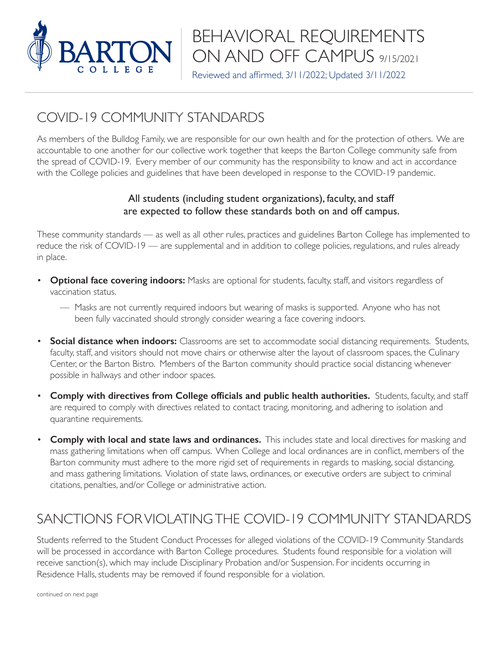

# BEHAVIORAL REQUIREMENTS ON AND OFF CAMPUS 9/15/2021

Reviewed and affirmed, 3/11/2022; Updated 3/11/2022

### COVID-19 COMMUNITY STANDARDS

As members of the Bulldog Family, we are responsible for our own health and for the protection of others. We are accountable to one another for our collective work together that keeps the Barton College community safe from the spread of COVID-19. Every member of our community has the responsibility to know and act in accordance with the College policies and guidelines that have been developed in response to the COVID-19 pandemic.

#### All students (including student organizations), faculty, and staff are expected to follow these standards both on and off campus.

These community standards — as well as all other rules, practices and guidelines Barton College has implemented to reduce the risk of COVID-19 — are supplemental and in addition to college policies, regulations, and rules already in place.

- **Optional face covering indoors:** Masks are optional for students, faculty, staff, and visitors regardless of vaccination status.
	- Masks are not currently required indoors but wearing of masks is supported. Anyone who has not been fully vaccinated should strongly consider wearing a face covering indoors.
- **Social distance when indoors:** Classrooms are set to accommodate social distancing requirements. Students, faculty, staff, and visitors should not move chairs or otherwise alter the layout of classroom spaces, the Culinary Center, or the Barton Bistro. Members of the Barton community should practice social distancing whenever possible in hallways and other indoor spaces.
- **Comply with directives from College officials and public health authorities.** Students, faculty, and staff are required to comply with directives related to contact tracing, monitoring, and adhering to isolation and quarantine requirements.
- **Comply with local and state laws and ordinances.** This includes state and local directives for masking and mass gathering limitations when off campus. When College and local ordinances are in conflict, members of the Barton community must adhere to the more rigid set of requirements in regards to masking, social distancing, and mass gathering limitations. Violation of state laws, ordinances, or executive orders are subject to criminal citations, penalties, and/or College or administrative action.

## SANCTIONS FOR VIOLATING THE COVID-19 COMMUNITY STANDARDS

Students referred to the Student Conduct Processes for alleged violations of the COVID-19 Community Standards will be processed in accordance with Barton College procedures. Students found responsible for a violation will receive sanction(s), which may include Disciplinary Probation and/or Suspension. For incidents occurring in Residence Halls, students may be removed if found responsible for a violation.